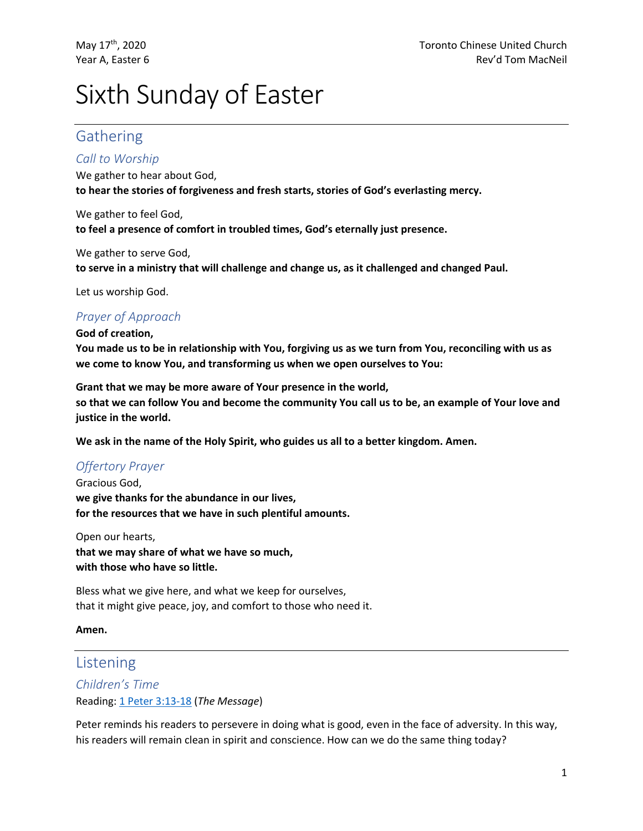# Sixth Sunday of Easter

## Gathering

#### *Call to Worship*

We gather to hear about God, **to hear the stories of forgiveness and fresh starts, stories of God's everlasting mercy.**

We gather to feel God, **to feel a presence of comfort in troubled times, God's eternally just presence.**

We gather to serve God, **to serve in a ministry that will challenge and change us, as it challenged and changed Paul.**

Let us worship God.

## *Prayer of Approach*

**God of creation,**

**You made us to be in relationship with You, forgiving us as we turn from You, reconciling with us as we come to know You, and transforming us when we open ourselves to You:**

**Grant that we may be more aware of Your presence in the world, so that we can follow You and become the community You call us to be, an example of Your love and justice in the world.**

**We ask in the name of the Holy Spirit, who guides us all to a better kingdom. Amen.**

## *Offertory Prayer*

Gracious God, **we give thanks for the abundance in our lives, for the resources that we have in such plentiful amounts.**

Open our hearts, **that we may share of what we have so much, with those who have so little.**

Bless what we give here, and what we keep for ourselves, that it might give peace, joy, and comfort to those who need it.

**Amen.**

## Listening

## *Children's Time* Reading: 1 Peter 3:13-18 (*The Message*)

Peter reminds his readers to persevere in doing what is good, even in the face of adversity. In this way, his readers will remain clean in spirit and conscience. How can we do the same thing today?